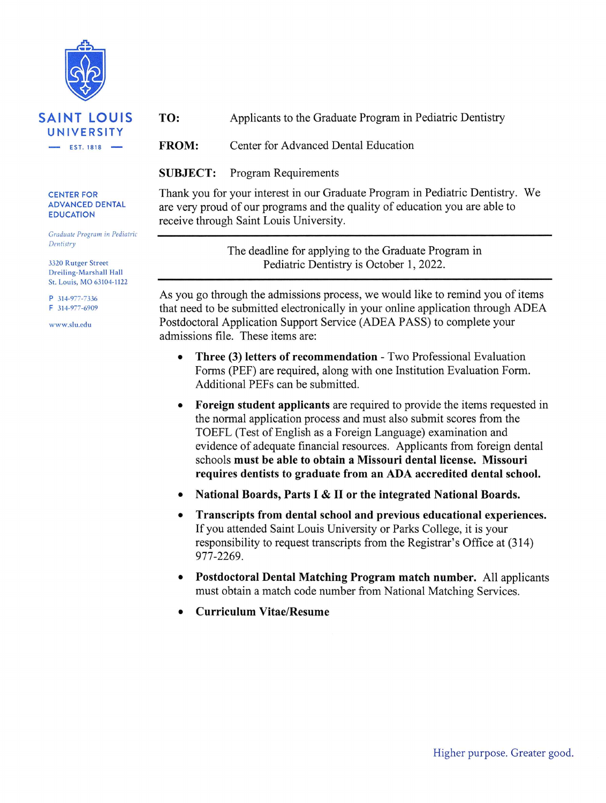

#### TO: Applicants to the Graduate Program in Pediatric Dentistry

**FROM:** Center for Advanced Dental Education

**SUBJECT:** Program Requirements

**CENTER FOR ADVANCED DENTAL EDUCATION** 

Graduate Program in Pediatric Dentistry

3320 Rutger Street Dreiling-Marshall Hall St. Louis, MO 63104-1122

P 314-977-7336 F 314-977-6909

www.slu.edu

Thank you for your interest in our Graduate Program in Pediatric Dentistry. We are very proud of our programs and the quality of education you are able to receive through Saint Louis University.

> The deadline for applying to the Graduate Program in Pediatric Dentistry is October 1, 2022.

As you go through the admissions process, we would like to remind you of items that need to be submitted electronically in your online application through ADEA Postdoctoral Application Support Service (ADEA PASS) to complete your admissions file. These items are:

- **Three (3) letters of recommendation Two Professional Evaluation** Forms (PEF) are required, along with one Institution Evaluation Form. Additional PEFs can be submitted.
- Foreign student applicants are required to provide the items requested in  $\bullet$ the normal application process and must also submit scores from the TOEFL (Test of English as a Foreign Language) examination and evidence of adequate financial resources. Applicants from foreign dental schools must be able to obtain a Missouri dental license. Missouri requires dentists to graduate from an ADA accredited dental school.
- National Boards, Parts I & II or the integrated National Boards.  $\bullet$
- Transcripts from dental school and previous educational experiences.  $\bullet$ If you attended Saint Louis University or Parks College, it is your responsibility to request transcripts from the Registrar's Office at (314) 977-2269.
- Postdoctoral Dental Matching Program match number. All applicants must obtain a match code number from National Matching Services.
- **Curriculum Vitae/Resume**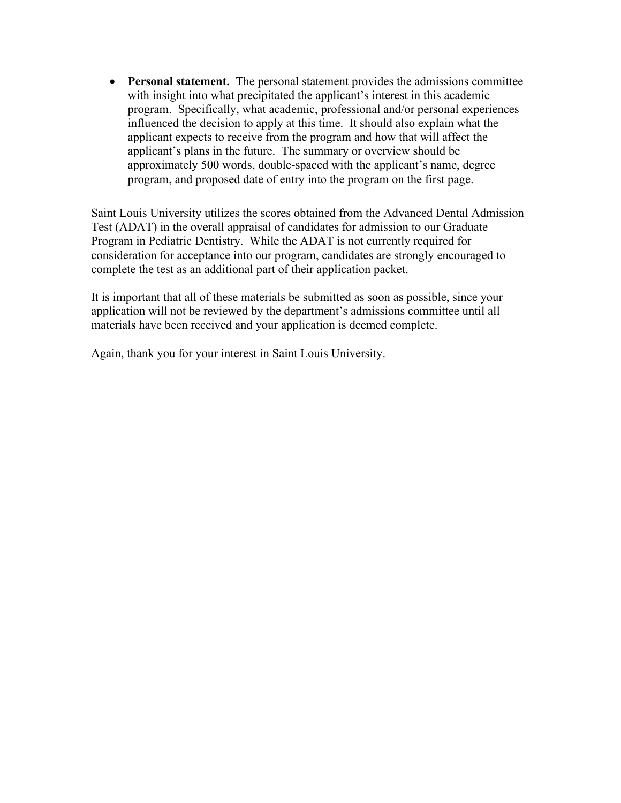• **Personal statement.** The personal statement provides the admissions committee with insight into what precipitated the applicant's interest in this academic program. Specifically, what academic, professional and/or personal experiences influenced the decision to apply at this time. It should also explain what the applicant expects to receive from the program and how that will affect the applicant's plans in the future. The summary or overview should be approximately 500 words, double-spaced with the applicant's name, degree program, and proposed date of entry into the program on the first page.

Saint Louis University utilizes the scores obtained from the Advanced Dental Admission Test (ADAT) in the overall appraisal of candidates for admission to our Graduate Program in Pediatric Dentistry. While the ADAT is not currently required for consideration for acceptance into our program, candidates are strongly encouraged to complete the test as an additional part of their application packet.

It is important that all of these materials be submitted as soon as possible, since your application will not be reviewed by the department's admissions committee until all materials have been received and your application is deemed complete.

Again, thank you for your interest in Saint Louis University.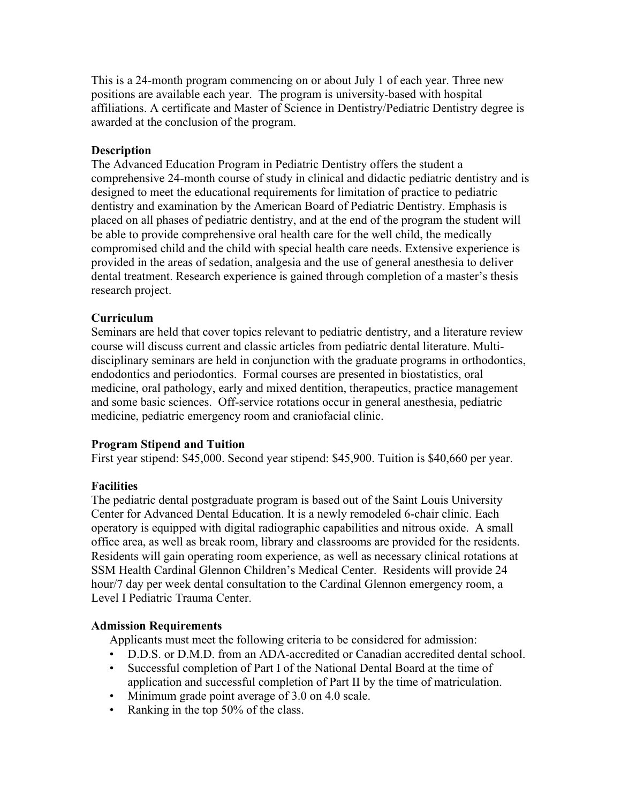This is a 24-month program commencing on or about July 1 of each year. Three new positions are available each year. The program is university-based with hospital affiliations. A certificate and Master of Science in Dentistry/Pediatric Dentistry degree is awarded at the conclusion of the program.

### **Description**

The Advanced Education Program in Pediatric Dentistry offers the student a comprehensive 24-month course of study in clinical and didactic pediatric dentistry and is designed to meet the educational requirements for limitation of practice to pediatric dentistry and examination by the American Board of Pediatric Dentistry. Emphasis is placed on all phases of pediatric dentistry, and at the end of the program the student will be able to provide comprehensive oral health care for the well child, the medically compromised child and the child with special health care needs. Extensive experience is provided in the areas of sedation, analgesia and the use of general anesthesia to deliver dental treatment. Research experience is gained through completion of a master's thesis research project.

## **Curriculum**

Seminars are held that cover topics relevant to pediatric dentistry, and a literature review course will discuss current and classic articles from pediatric dental literature. Multidisciplinary seminars are held in conjunction with the graduate programs in orthodontics, endodontics and periodontics. Formal courses are presented in biostatistics, oral medicine, oral pathology, early and mixed dentition, therapeutics, practice management and some basic sciences. Off-service rotations occur in general anesthesia, pediatric medicine, pediatric emergency room and craniofacial clinic.

### **Program Stipend and Tuition**

First year stipend: \$45,000. Second year stipend: \$45,900. Tuition is \$40,660 per year.

# **Facilities**

The pediatric dental postgraduate program is based out of the Saint Louis University Center for Advanced Dental Education. It is a newly remodeled 6-chair clinic. Each operatory is equipped with digital radiographic capabilities and nitrous oxide. A small office area, as well as break room, library and classrooms are provided for the residents. Residents will gain operating room experience, as well as necessary clinical rotations at SSM Health Cardinal Glennon Children's Medical Center. Residents will provide 24 hour/7 day per week dental consultation to the Cardinal Glennon emergency room, a Level I Pediatric Trauma Center.

### **Admission Requirements**

Applicants must meet the following criteria to be considered for admission:

- D.D.S. or D.M.D. from an ADA-accredited or Canadian accredited dental school.
- Successful completion of Part I of the National Dental Board at the time of application and successful completion of Part II by the time of matriculation.
- Minimum grade point average of 3.0 on 4.0 scale.
- Ranking in the top 50% of the class.